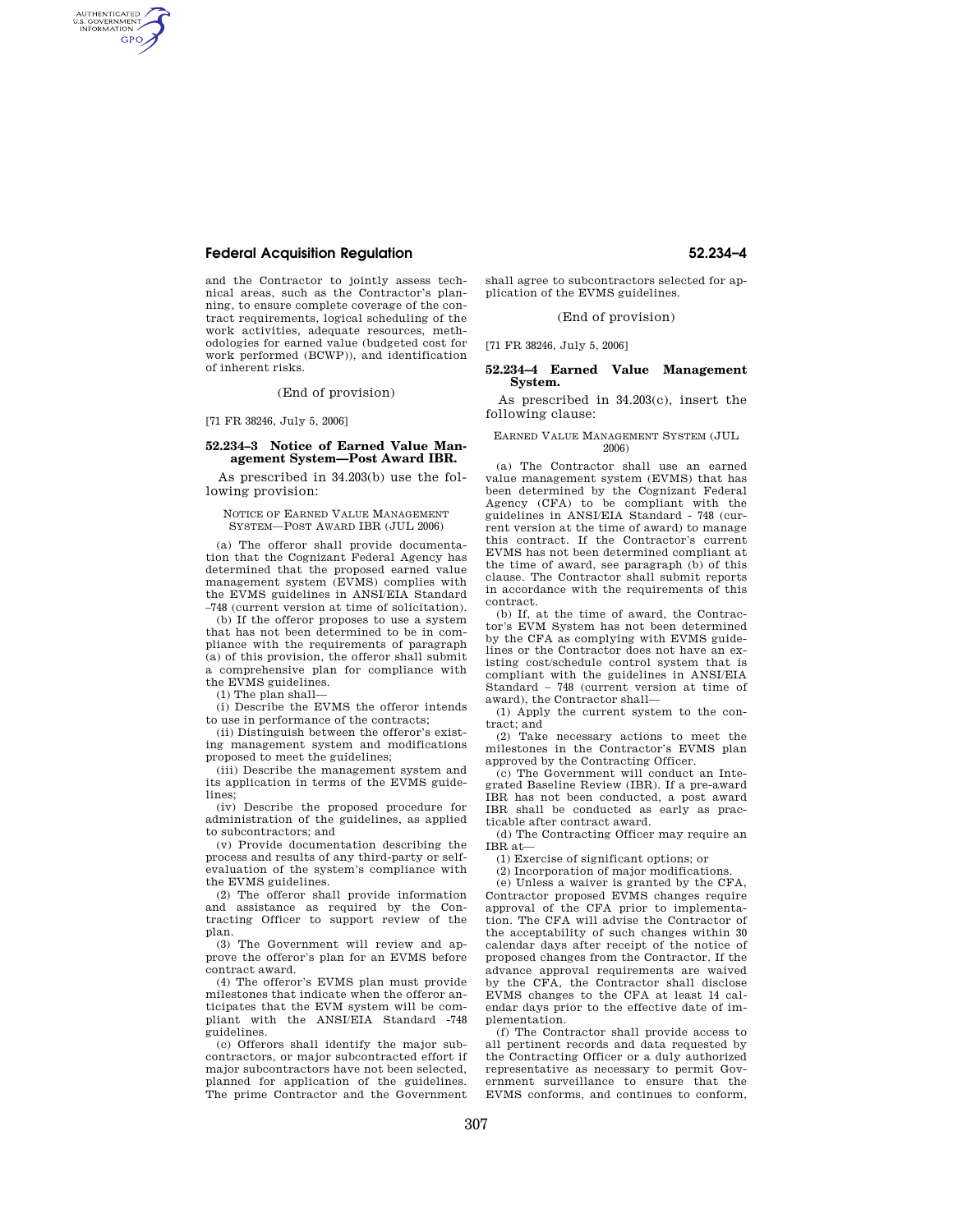# **Federal Acquisition Regulation 52.234–4**

AUTHENTICATED<br>U.S. GOVERNMENT<br>INFORMATION **GPO** 

> and the Contractor to jointly assess technical areas, such as the Contractor's planning, to ensure complete coverage of the contract requirements, logical scheduling of the work activities, adequate resources, methodologies for earned value (budgeted cost for work performed (BCWP)), and identification of inherent risks.

> > (End of provision)

[71 FR 38246, July 5, 2006]

### **52.234–3 Notice of Earned Value Management System—Post Award IBR.**

As prescribed in 34.203(b) use the following provision:

NOTICE OF EARNED VALUE MANAGEMENT SYSTEM—POST AWARD IBR (JUL 2006)

(a) The offeror shall provide documentation that the Cognizant Federal Agency has determined that the proposed earned value management system (EVMS) complies with the EVMS guidelines in ANSI/EIA Standard –748 (current version at time of solicitation).

(b) If the offeror proposes to use a system that has not been determined to be in compliance with the requirements of paragraph (a) of this provision, the offeror shall submit a comprehensive plan for compliance with the EVMS guidelines.

(1) The plan shall—

(i) Describe the EVMS the offeror intends to use in performance of the contracts;

(ii) Distinguish between the offeror's existing management system and modifications proposed to meet the guidelines;

(iii) Describe the management system and its application in terms of the EVMS guidelines;

(iv) Describe the proposed procedure for administration of the guidelines, as applied to subcontractors; and

(v) Provide documentation describing the process and results of any third-party or selfevaluation of the system's compliance with the EVMS guidelines.

(2) The offeror shall provide information and assistance as required by the Contracting Officer to support review of the plan.

(3) The Government will review and approve the offeror's plan for an EVMS before contract award.

(4) The offeror's EVMS plan must provide milestones that indicate when the offeror anticipates that the EVM system will be compliant with the ANSI/EIA Standard -748 guidelines.

(c) Offerors shall identify the major subcontractors, or major subcontracted effort if major subcontractors have not been selected, planned for application of the guidelines. The prime Contractor and the Government

shall agree to subcontractors selected for application of the EVMS guidelines.

# (End of provision)

[71 FR 38246, July 5, 2006]

### **52.234–4 Earned Value Management System.**

As prescribed in 34.203(c), insert the following clause:

#### EARNED VALUE MANAGEMENT SYSTEM (JUL 2006)

(a) The Contractor shall use an earned value management system (EVMS) that has been determined by the Cognizant Federal Agency (CFA) to be compliant with the guidelines in ANSI/EIA Standard - 748 (current version at the time of award) to manage this contract. If the Contractor's current EVMS has not been determined compliant at the time of award, see paragraph (b) of this clause. The Contractor shall submit reports in accordance with the requirements of this contract.

(b) If, at the time of award, the Contractor's EVM System has not been determined by the CFA as complying with EVMS guidelines or the Contractor does not have an existing cost/schedule control system that is compliant with the guidelines in ANSI/EIA Standard – 748 (current version at time of award), the Contractor shall—

(1) Apply the current system to the contract; and

(2) Take necessary actions to meet the milestones in the Contractor's EVMS plan approved by the Contracting Officer.

(c) The Government will conduct an Integrated Baseline Review (IBR). If a pre-award IBR has not been conducted, a post award IBR shall be conducted as early as practicable after contract award.

(d) The Contracting Officer may require an IBR at—

(1) Exercise of significant options; or

(2) Incorporation of major modifications.

(e) Unless a waiver is granted by the CFA, Contractor proposed EVMS changes require approval of the CFA prior to implementation. The CFA will advise the Contractor of the acceptability of such changes within 30 calendar days after receipt of the notice of proposed changes from the Contractor. If the advance approval requirements are waived by the CFA, the Contractor shall disclose EVMS changes to the CFA at least 14 calendar days prior to the effective date of implementation.

(f) The Contractor shall provide access to all pertinent records and data requested by the Contracting Officer or a duly authorized representative as necessary to permit Government surveillance to ensure that the EVMS conforms, and continues to conform,